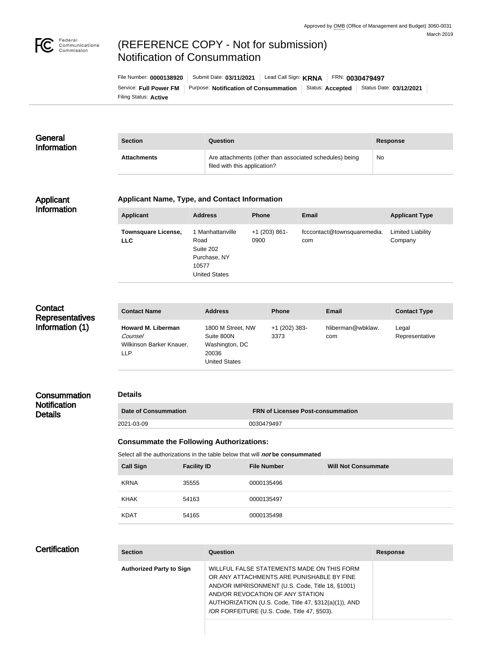

# (REFERENCE COPY - Not for submission) Notification of Consummation

Filing Status: **Active** Service: Full Power FM | Purpose: Notification of Consummation | Status: Accepted | Status Date: 03/12/2021 File Number: **0000138920** Submit Date: **03/11/2021** Lead Call Sign: **KRNA** FRN: **0030479497**

| General<br><b>Information</b> | <b>Section</b>     | Question                                                                                | Response |
|-------------------------------|--------------------|-----------------------------------------------------------------------------------------|----------|
|                               | <b>Attachments</b> | Are attachments (other than associated schedules) being<br>filed with this application? | No       |

### Applicant Information

### **Applicant Name, Type, and Contact Information**

| <b>Applicant</b>                         | <b>Address</b>                                                                         | <b>Phone</b>            | <b>Email</b>                       | <b>Applicant Type</b>               |
|------------------------------------------|----------------------------------------------------------------------------------------|-------------------------|------------------------------------|-------------------------------------|
| <b>Townsquare License,</b><br><b>LLC</b> | 1 Manhattanville<br>Road<br>Suite 202<br>Purchase, NY<br>10577<br><b>United States</b> | $+1$ (203) 861-<br>0900 | fcccontact@townsquaremedia.<br>com | <b>Limited Liability</b><br>Company |

| Contact                |
|------------------------|
| <b>Representatives</b> |
| Information (1)        |

| <b>Contact Name</b>                                                            | <b>Address</b>                                                                     | <b>Phone</b>            | <b>Email</b>             | <b>Contact Type</b>     |
|--------------------------------------------------------------------------------|------------------------------------------------------------------------------------|-------------------------|--------------------------|-------------------------|
| <b>Howard M. Liberman</b><br><b>Counsel</b><br>Wilkinson Barker Knauer,<br>LLP | 1800 M Street, NW<br>Suite 800N<br>Washington, DC<br>20036<br><b>United States</b> | $+1$ (202) 383-<br>3373 | hliberman@wbklaw.<br>com | Legal<br>Representative |

#### **Consummation Notification Details Details Date of Consummation FRN of Licensee Post-consummation** 2021-03-09 0030479497

# **Consummate the Following Authorizations:**

Select all the authorizations in the table below that will *not* be consummated

| <b>Call Sign</b> | <b>Facility ID</b> | <b>File Number</b> | <b>Will Not Consummate</b> |
|------------------|--------------------|--------------------|----------------------------|
| <b>KRNA</b>      | 35555              | 0000135496         |                            |
| <b>KHAK</b>      | 54163              | 0000135497         |                            |
| <b>KDAT</b>      | 54165              | 0000135498         |                            |

### **Certification**

| <b>Section</b>                  | Question                                                                                                                                                                                                                                                                               | <b>Response</b> |
|---------------------------------|----------------------------------------------------------------------------------------------------------------------------------------------------------------------------------------------------------------------------------------------------------------------------------------|-----------------|
| <b>Authorized Party to Sign</b> | WILLFUL FALSE STATEMENTS MADE ON THIS FORM<br>OR ANY ATTACHMENTS ARE PUNISHABLE BY FINE<br>AND/OR IMPRISONMENT (U.S. Code, Title 18, §1001)<br>AND/OR REVOCATION OF ANY STATION<br>AUTHORIZATION (U.S. Code, Title 47, §312(a)(1)), AND<br>/OR FORFEITURE (U.S. Code, Title 47, §503). |                 |